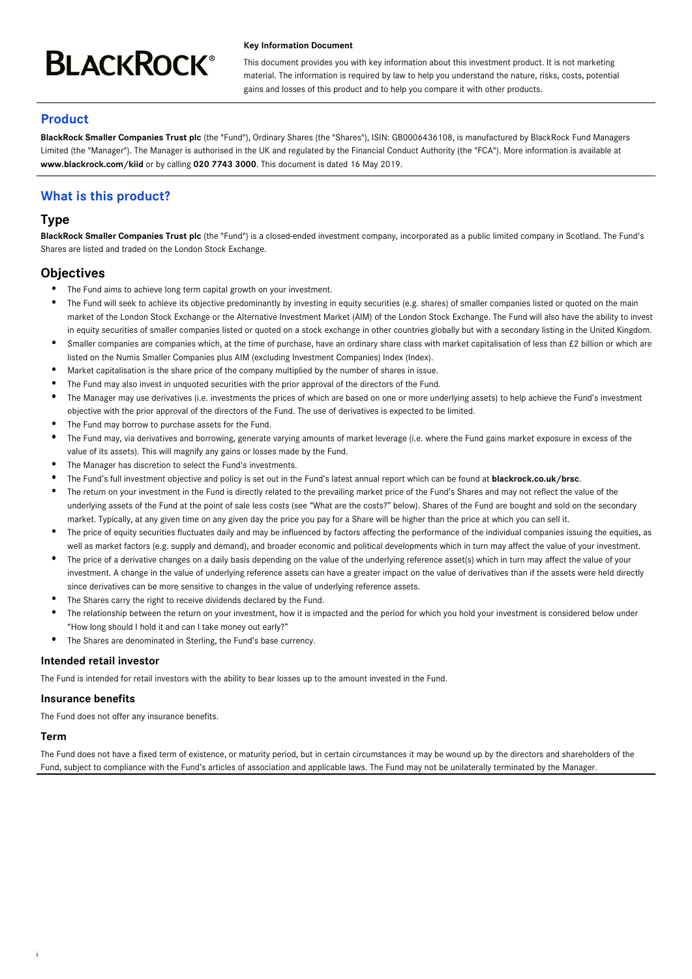# **BLACKROCK®**

#### **Key Information Document**

This document provides you with key information about this investment product. It is not marketing material. The information is required by law to help you understand the nature, risks, costs, potential gains and losses of this product and to help you compare it with other products.

# **Product**

**BlackRock Smaller Companies Trust plc** (the "Fund"), Ordinary Shares (the "Shares"), ISIN: GB0006436108, is manufactured by BlackRock Fund Managers Limited (the "Manager"). The Manager is authorised in the UK and regulated by the Financial Conduct Authority (the "FCA"). More information is available at **www.blackrock.com/kiid** or by calling **020 7743 3000**. This document is dated 16 May 2019.

# **What is this product?**

# **Type**

**BlackRock Smaller Companies Trust plc** (the "Fund") is a closed-ended investment company, incorporated as a public limited company in Scotland. The Fund's Shares are listed and traded on the London Stock Exchange.

# **Objectives**

- The Fund aims to achieve long term capital growth on your investment.
- $\bullet$ The Fund will seek to achieve its objective predominantly by investing in equity securities (e.g. shares) of smaller companies listed or quoted on the main market of the London Stock Exchange or the Alternative Investment Market (AIM) of the London Stock Exchange. The Fund will also have the ability to invest in equity securities of smaller companies listed or quoted on a stock exchange in other countries globally but with a secondary listing in the United Kingdom.
- Smaller companies are companies which, at the time of purchase, have an ordinary share class with market capitalisation of less than £2 billion or which are listed on the Numis Smaller Companies plus AIM (excluding Investment Companies) Index (Index).
- Market capitalisation is the share price of the company multiplied by the number of shares in issue.
- The Fund may also invest in unquoted securities with the prior approval of the directors of the Fund.
- The Manager may use derivatives (i.e. investments the prices of which are based on one or more underlying assets) to help achieve the Fund's investment objective with the prior approval of the directors of the Fund. The use of derivatives is expected to be limited.
- The Fund may borrow to purchase assets for the Fund.
- The Fund may, via derivatives and borrowing, generate varying amounts of market leverage (i.e. where the Fund gains market exposure in excess of the value of its assets). This will magnify any gains or losses made by the Fund.
- The Manager has discretion to select the Fund's investments.
- The Fund's full investment objective and policy is set out in the Fund's latest annual report which can be found at **blackrock.co.uk/brsc**.
- The return on your investment in the Fund is directly related to the prevailing market price of the Fund's Shares and may not reflect the value of the underlying assets of the Fund at the point of sale less costs (see "What are the costs?" below). Shares of the Fund are bought and sold on the secondary market. Typically, at any given time on any given day the price you pay for a Share will be higher than the price at which you can sell it.
- The price of equity securities fluctuates daily and may be influenced by factors affecting the performance of the individual companies issuing the equities, as well as market factors (e.g. supply and demand), and broader economic and political developments which in turn may affect the value of your investment.
- The price of a derivative changes on a daily basis depending on the value of the underlying reference asset(s) which in turn may affect the value of your investment. A change in the value of underlying reference assets can have a greater impact on the value of derivatives than if the assets were held directly since derivatives can be more sensitive to changes in the value of underlying reference assets.
- The Shares carry the right to receive dividends declared by the Fund.
- The relationship between the return on your investment, how it is impacted and the period for which you hold your investment is considered below under "How long should I hold it and can I take money out early?"
- The Shares are denominated in Sterling, the Fund's base currency.

#### **Intended retail investor**

The Fund is intended for retail investors with the ability to bear losses up to the amount invested in the Fund.

#### **Insurance benefits**

The Fund does not offer any insurance benefits.

#### **Term**

i

The Fund does not have a fixed term of existence, or maturity period, but in certain circumstances it may be wound up by the directors and shareholders of the Fund, subject to compliance with the Fund's articles of association and applicable laws. The Fund may not be unilaterally terminated by the Manager.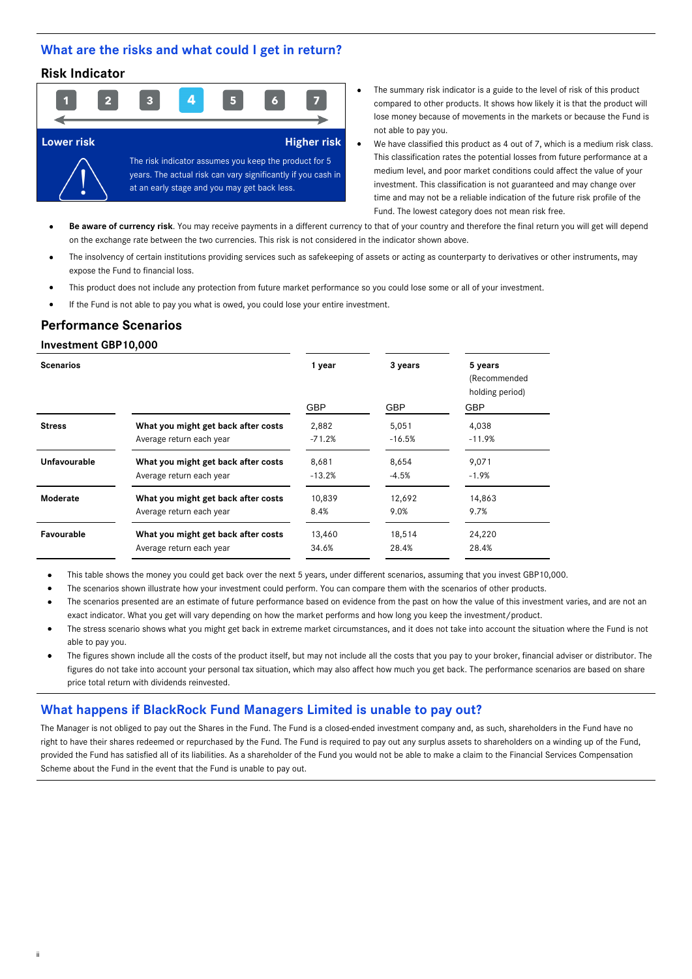## **What are the risks and what could I get in return?**

## **Risk Indicator**



- The summary risk indicator is a guide to the level of risk of this product compared to other products. It shows how likely it is that the product will lose money because of movements in the markets or because the Fund is not able to pay you.
- We have classified this product as 4 out of 7, which is a medium risk class. This classification rates the potential losses from future performance at a medium level, and poor market conditions could affect the value of your investment. This classification is not guaranteed and may change over time and may not be a reliable indication of the future risk profile of the Fund. The lowest category does not mean risk free.

Be aware of currency risk. You may receive payments in a different currency to that of your country and therefore the final return you will get will depend on the exchange rate between the two currencies. This risk is not considered in the indicator shown above.

- The insolvency of certain institutions providing services such as safekeeping of assets or acting as counterparty to derivatives or other instruments, may expose the Fund to financial loss.
- This product does not include any protection from future market performance so you could lose some or all of your investment.
- If the Fund is not able to pay you what is owed, you could lose your entire investment.

## **Performance Scenarios**

#### **Investment GBP10,000**

ii

| <b>Scenarios</b> |                                     | 1 year     | 3 years    | 5 years<br>(Recommended<br>holding period) |  |
|------------------|-------------------------------------|------------|------------|--------------------------------------------|--|
|                  |                                     | <b>GBP</b> | <b>GBP</b> | <b>GBP</b>                                 |  |
| <b>Stress</b>    | What you might get back after costs | 2,882      | 5,051      | 4,038                                      |  |
|                  | Average return each year            | $-71.2%$   | $-16.5%$   | $-11.9%$                                   |  |
| Unfavourable     | What you might get back after costs | 8,681      | 8,654      | 9,071                                      |  |
|                  | Average return each year            | $-13.2%$   | $-4.5%$    | $-1.9%$                                    |  |
| Moderate         | What you might get back after costs | 10,839     | 12,692     | 14,863                                     |  |
|                  | Average return each year            | 8.4%       | 9.0%       | 9.7%                                       |  |
| Favourable       | What you might get back after costs | 13,460     | 18,514     | 24,220                                     |  |
|                  | Average return each year            | 34.6%      | 28.4%      | 28.4%                                      |  |

This table shows the money you could get back over the next 5 years, under different scenarios, assuming that you invest GBP10,000.

The scenarios shown illustrate how your investment could perform. You can compare them with the scenarios of other products.

- The scenarios presented are an estimate of future performance based on evidence from the past on how the value of this investment varies, and are not an exact indicator. What you get will vary depending on how the market performs and how long you keep the investment/product.
- The stress scenario shows what you might get back in extreme market circumstances, and it does not take into account the situation where the Fund is not able to pay you.
- The figures shown include all the costs of the product itself, but may not include all the costs that you pay to your broker, financial adviser or distributor. The figures do not take into account your personal tax situation, which may also affect how much you get back. The performance scenarios are based on share price total return with dividends reinvested.

## **What happens if BlackRock Fund Managers Limited is unable to pay out?**

The Manager is not obliged to pay out the Shares in the Fund. The Fund is a closed-ended investment company and, as such, shareholders in the Fund have no right to have their shares redeemed or repurchased by the Fund. The Fund is required to pay out any surplus assets to shareholders on a winding up of the Fund, provided the Fund has satisfied all of its liabilities. As a shareholder of the Fund you would not be able to make a claim to the Financial Services Compensation Scheme about the Fund in the event that the Fund is unable to pay out.